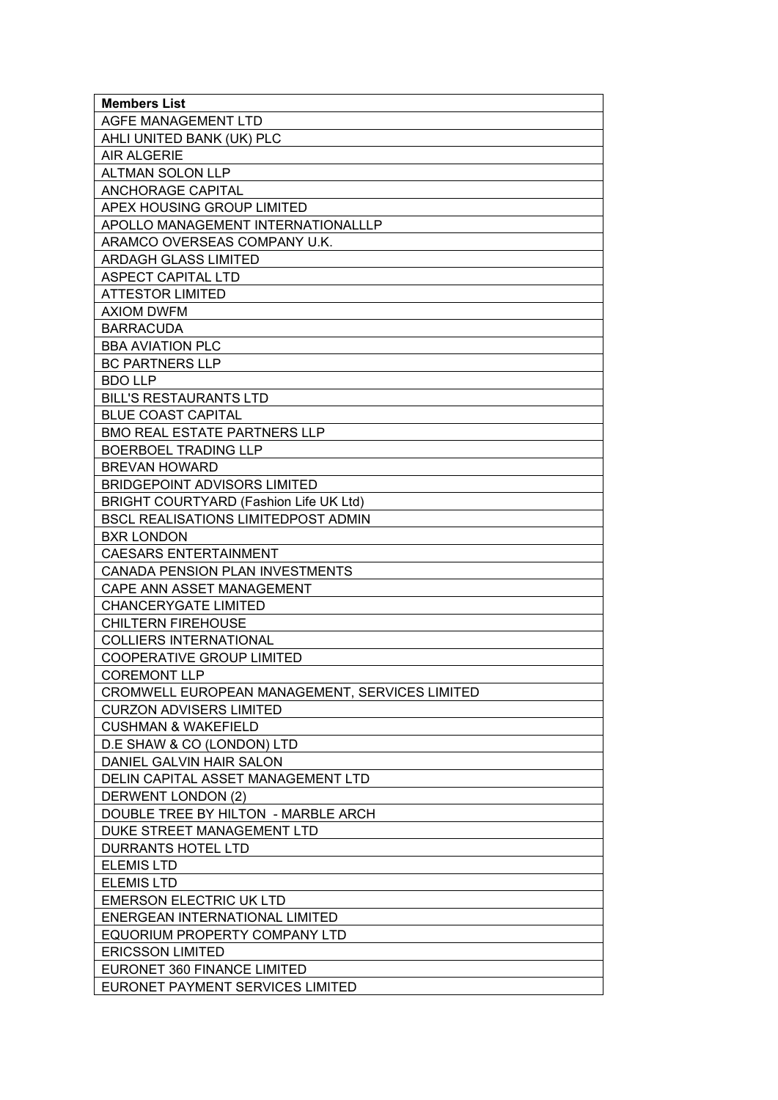| <b>Members List</b>                            |
|------------------------------------------------|
| AGFE MANAGEMENT LTD                            |
| AHLI UNITED BANK (UK) PLC                      |
| <b>AIR ALGERIE</b>                             |
| <b>ALTMAN SOLON LLP</b>                        |
| <b>ANCHORAGE CAPITAL</b>                       |
| APEX HOUSING GROUP LIMITED                     |
| APOLLO MANAGEMENT INTERNATIONALLLP             |
| ARAMCO OVERSEAS COMPANY U.K.                   |
| <b>ARDAGH GLASS LIMITED</b>                    |
| <b>ASPECT CAPITAL LTD</b>                      |
| <b>ATTESTOR LIMITED</b>                        |
| <b>AXIOM DWFM</b>                              |
| <b>BARRACUDA</b>                               |
| <b>BBA AVIATION PLC</b>                        |
| <b>BC PARTNERS LLP</b>                         |
| <b>BDO LLP</b>                                 |
| <b>BILL'S RESTAURANTS LTD</b>                  |
| <b>BLUE COAST CAPITAL</b>                      |
| <b>BMO REAL ESTATE PARTNERS LLP</b>            |
| <b>BOERBOEL TRADING LLP</b>                    |
| <b>BREVAN HOWARD</b>                           |
| <b>BRIDGEPOINT ADVISORS LIMITED</b>            |
| <b>BRIGHT COURTYARD (Fashion Life UK Ltd)</b>  |
| <b>BSCL REALISATIONS LIMITEDPOST ADMIN</b>     |
| <b>BXR LONDON</b>                              |
| <b>CAESARS ENTERTAINMENT</b>                   |
| <b>CANADA PENSION PLAN INVESTMENTS</b>         |
| CAPE ANN ASSET MANAGEMENT                      |
| <b>CHANCERYGATE LIMITED</b>                    |
| <b>CHILTERN FIREHOUSE</b>                      |
| <b>COLLIERS INTERNATIONAL</b>                  |
| <b>COOPERATIVE GROUP LIMITED</b>               |
| <b>COREMONT LLP</b>                            |
| CROMWELL EUROPEAN MANAGEMENT, SERVICES LIMITED |
| <b>CURZON ADVISERS LIMITED</b>                 |
| <b>CUSHMAN &amp; WAKEFIELD</b>                 |
| D.E SHAW & CO (LONDON) LTD                     |
| DANIEL GALVIN HAIR SALON                       |
| DELIN CAPITAL ASSET MANAGEMENT LTD             |
| <b>DERWENT LONDON (2)</b>                      |
| DOUBLE TREE BY HILTON - MARBLE ARCH            |
| DUKE STREET MANAGEMENT LTD                     |
| DURRANTS HOTEL LTD                             |
| ELEMIS LTD                                     |
| <b>ELEMIS LTD</b>                              |
| <b>EMERSON ELECTRIC UK LTD</b>                 |
| ENERGEAN INTERNATIONAL LIMITED                 |
| EQUORIUM PROPERTY COMPANY LTD                  |
| <b>ERICSSON LIMITED</b>                        |
| EURONET 360 FINANCE LIMITED                    |
| EURONET PAYMENT SERVICES LIMITED               |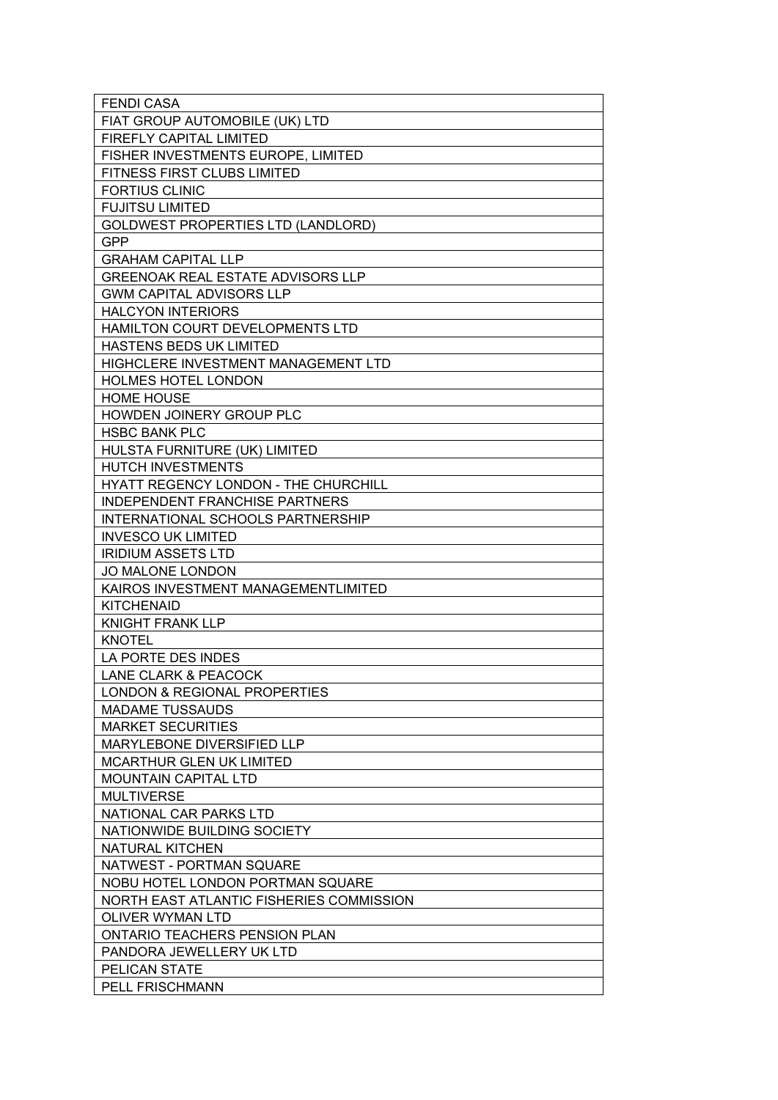| FIAT GROUP AUTOMOBILE (UK) LTD           |
|------------------------------------------|
| FIREFLY CAPITAL LIMITED                  |
| FISHER INVESTMENTS EUROPE, LIMITED       |
| FITNESS FIRST CLUBS LIMITED              |
| <b>FORTIUS CLINIC</b>                    |
| <b>FUJITSU LIMITED</b>                   |
| GOLDWEST PROPERTIES LTD (LANDLORD)       |
| <b>GPP</b>                               |
| <b>GRAHAM CAPITAL LLP</b>                |
| <b>GREENOAK REAL ESTATE ADVISORS LLP</b> |
| <b>GWM CAPITAL ADVISORS LLP</b>          |
| <b>HALCYON INTERIORS</b>                 |
| HAMILTON COURT DEVELOPMENTS LTD          |
| <b>HASTENS BEDS UK LIMITED</b>           |
| HIGHCLERE INVESTMENT MANAGEMENT LTD      |
| HOLMES HOTEL LONDON                      |
| <b>HOME HOUSE</b>                        |
| HOWDEN JOINERY GROUP PLC                 |
| <b>HSBC BANK PLC</b>                     |
| HULSTA FURNITURE (UK) LIMITED            |
| HUTCH INVESTMENTS                        |
| HYATT REGENCY LONDON - THE CHURCHILL     |
| <b>INDEPENDENT FRANCHISE PARTNERS</b>    |
| INTERNATIONAL SCHOOLS PARTNERSHIP        |
| <b>INVESCO UK LIMITED</b>                |
| <b>IRIDIUM ASSETS LTD</b>                |
| JO MALONE LONDON                         |
|                                          |
| KAIROS INVESTMENT MANAGEMENTLIMITED      |
| <b>KITCHENAID</b>                        |
| <b>KNIGHT FRANK LLP</b>                  |
| <b>KNOTEL</b>                            |
| LA PORTE DES INDES                       |
| LANE CLARK & PEACOCK                     |
| <b>LONDON &amp; REGIONAL PROPERTIES</b>  |
| <b>MADAME TUSSAUDS</b>                   |
| <b>MARKET SECURITIES</b>                 |
| MARYLEBONE DIVERSIFIED LLP               |
| <b>MCARTHUR GLEN UK LIMITED</b>          |
| <b>MOUNTAIN CAPITAL LTD</b>              |
| <b>MULTIVERSE</b>                        |
| NATIONAL CAR PARKS LTD                   |
| NATIONWIDE BUILDING SOCIETY              |
| NATURAL KITCHEN                          |
| NATWEST - PORTMAN SQUARE                 |
| NOBU HOTEL LONDON PORTMAN SQUARE         |
| NORTH EAST ATLANTIC FISHERIES COMMISSION |
| OLIVER WYMAN LTD                         |
| ONTARIO TEACHERS PENSION PLAN            |
| PANDORA JEWELLERY UK LTD                 |
| PELICAN STATE                            |